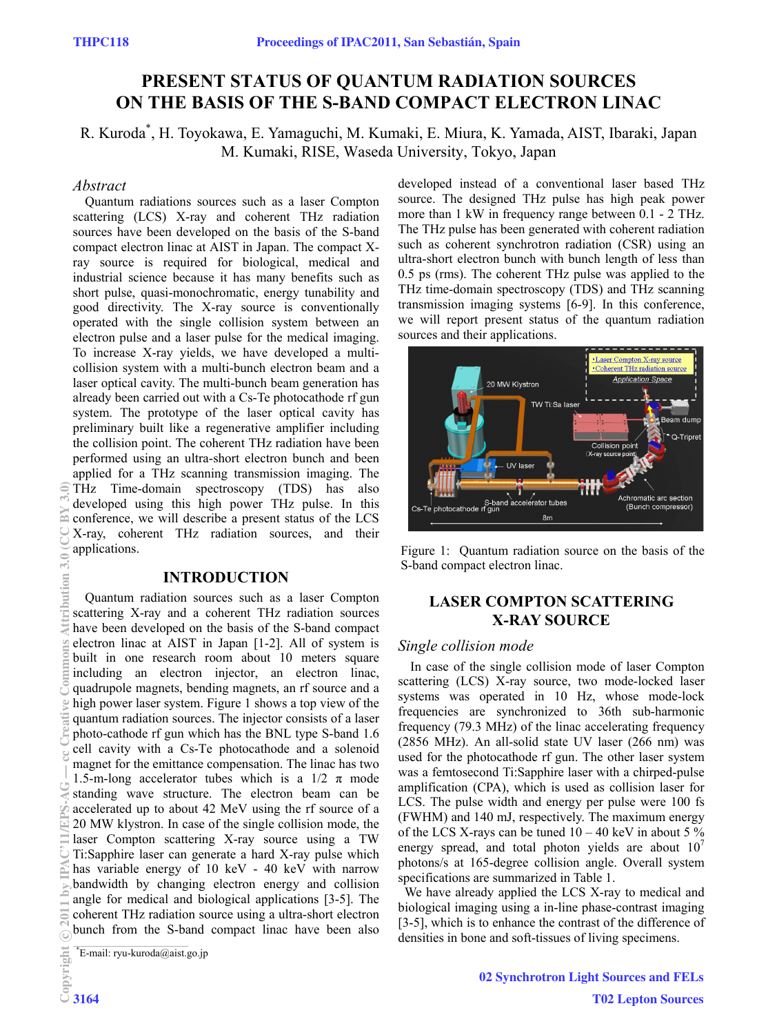# **PRESENT STATUS OF QUANTUM RADIATION SOURCES ON THE BASIS OF THE S-BAND COMPACT ELECTRON LINAC**

R. Kuroda\* , H. Toyokawa, E. Yamaguchi, M. Kumaki, E. Miura, K. Yamada, AIST, Ibaraki, Japan M. Kumaki, RISE, Waseda University, Tokyo, Japan

### *Abstract*

Quantum radiations sources such as a laser Compton scattering (LCS) X-ray and coherent THz radiation sources have been developed on the basis of the S-band compact electron linac at AIST in Japan. The compact Xray source is required for biological, medical and industrial science because it has many benefits such as short pulse, quasi-monochromatic, energy tunability and good directivity. The X-ray source is conventionally operated with the single collision system between an electron pulse and a laser pulse for the medical imaging. To increase X-ray yields, we have developed a multicollision system with a multi-bunch electron beam and a laser optical cavity. The multi-bunch beam generation has already been carried out with a Cs-Te photocathode rf gun system. The prototype of the laser optical cavity has preliminary built like a regenerative amplifier including the collision point. The coherent THz radiation have been performed using an ultra-short electron bunch and been applied for a THz scanning transmission imaging. The THz Time-domain spectroscopy (TDS) has also developed using this high power THz pulse. In this conference, we will describe a present status of the LCS X-ray, coherent THz radiation sources, and their applications.

## **INTRODUCTION**

Quantum radiation sources such as a laser Compton scattering X-ray and a coherent THz radiation sources have been developed on the basis of the S-band compact electron linac at AIST in Japan [1-2]. All of system is built in one research room about 10 meters square including an electron injector, an electron linac, quadrupole magnets, bending magnets, an rf source and a high power laser system. Figure 1 shows a top view of the quantum radiation sources. The injector consists of a laser photo-cathode rf gun which has the BNL type S-band 1.6 cell cavity with a Cs-Te photocathode and a solenoid magnet for the emittance compensation. The linac has two 1.5-m-long accelerator tubes which is a  $1/2 \pi$  mode standing wave structure. The electron beam can be accelerated up to about 42 MeV using the rf source of a 20 MW klystron. In case of the single collision mode, the laser Compton scattering X-ray source using a TW Ti:Sapphire laser can generate a hard X-ray pulse which has variable energy of 10 keV - 40 keV with narrow bandwidth by changing electron energy and collision angle for medical and biological applications [3-5]. The coherent THz radiation source using a ultra-short electron bunch from the S-band compact linac have been also (0;6 Mm ∪)) 0;6 no.php.commons and both in quantum at a care common at a common at a common at a common at a common at a common at a common at a common at a common at a common at a common at a common at a common at a com

\*E-mail: ryu-kuroda@aist.go.jp

developed instead of a conventional laser based THz source. The designed THz pulse has high peak power more than 1 kW in frequency range between 0.1 - 2 THz. The THz pulse has been generated with coherent radiation such as coherent synchrotron radiation (CSR) using an ultra-short electron bunch with bunch length of less than 0.5 ps (rms). The coherent THz pulse was applied to the THz time-domain spectroscopy (TDS) and THz scanning transmission imaging systems [6-9]. In this conference, we will report present status of the quantum radiation sources and their applications.



Figure 1: Quantum radiation source on the basis of the S-band compact electron linac.

## **LASER COMPTON SCATTERING X-RAY SOURCE**

## *Single collision mode*

In case of the single collision mode of laser Compton scattering (LCS) X-ray source, two mode-locked laser systems was operated in 10 Hz, whose mode-lock frequencies are synchronized to 36th sub-harmonic frequency (79.3 MHz) of the linac accelerating frequency (2856 MHz). An all-solid state UV laser (266 nm) was used for the photocathode rf gun. The other laser system was a femtosecond Ti:Sapphire laser with a chirped-pulse amplification (CPA), which is used as collision laser for LCS. The pulse width and energy per pulse were 100 fs (FWHM) and 140 mJ, respectively. The maximum energy of the LCS X-rays can be tuned  $10 - 40$  keV in about 5 % energy spread, and total photon yields are about  $10<sup>7</sup>$ photons/s at 165-degree collision angle. Overall system specifications are summarized in Table 1.

We have already applied the LCS X-ray to medical and biological imaging using a in-line phase-contrast imaging [3-5], which is to enhance the contrast of the difference of densities in bone and soft-tissues of living specimens.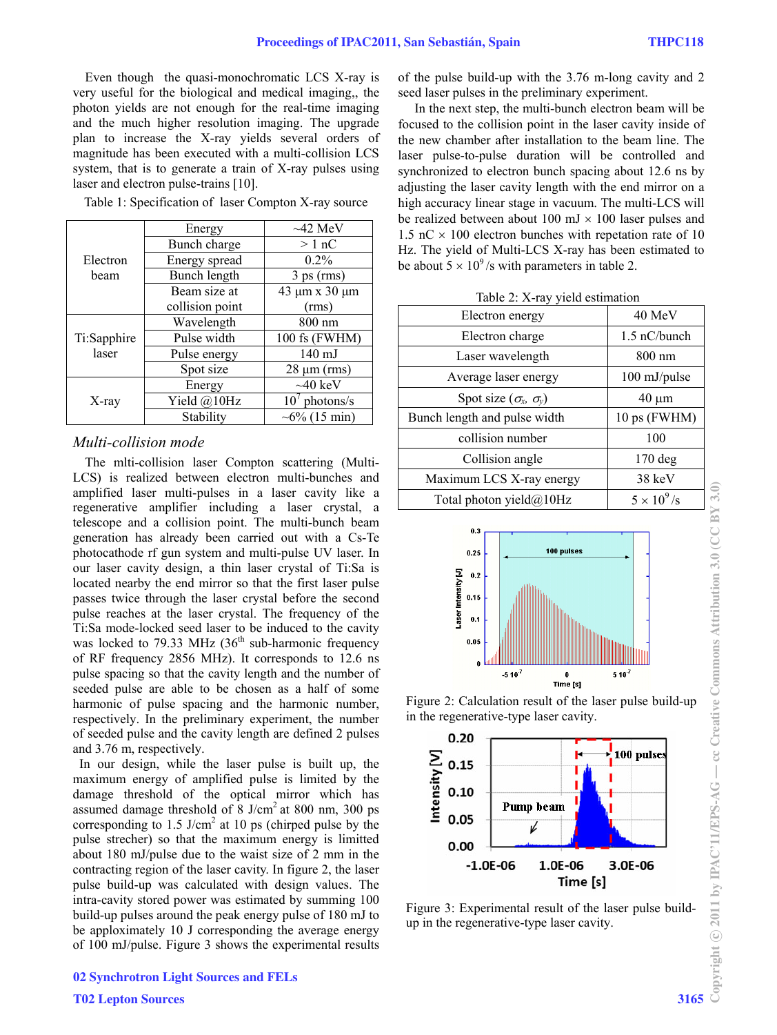Even though the quasi-monochromatic LCS X-ray is very useful for the biological and medical imaging,, the photon yields are not enough for the real-time imaging and the much higher resolution imaging. The upgrade plan to increase the X-ray yields several orders of magnitude has been executed with a multi-collision LCS system, that is to generate a train of X-ray pulses using laser and electron pulse-trains [10].

|                      | Energy          | $~12$ MeV                  |
|----------------------|-----------------|----------------------------|
|                      | Bunch charge    | $>1$ nC                    |
| Electron             | Energy spread   | $0.2\%$                    |
| beam                 | Bunch length    | $3$ ps (rms)               |
|                      | Beam size at    | $43 \mu m \times 30 \mu m$ |
|                      | collision point | (rms)                      |
| Ti:Sapphire<br>laser | Wavelength      | $800 \text{ nm}$           |
|                      | Pulse width     | 100 fs (FWHM)              |
|                      | Pulse energy    | 140 mJ                     |
|                      | Spot size       | $28 \mu m$ (rms)           |
| X-ray                | Energy          | $\sim$ 40 keV              |
|                      | Yield @10Hz     | $10^7$ photons/s           |
|                      | Stability       | $\sim$ 6% (15 min)         |

Table 1: Specification of laser Compton X-ray source

#### *Multi-collision mode*

The mlti-collision laser Compton scattering (Multi-LCS) is realized between electron multi-bunches and amplified laser multi-pulses in a laser cavity like a regenerative amplifier including a laser crystal, a telescope and a collision point. The multi-bunch beam generation has already been carried out with a Cs-Te photocathode rf gun system and multi-pulse UV laser. In our laser cavity design, a thin laser crystal of Ti:Sa is located nearby the end mirror so that the first laser pulse passes twice through the laser crystal before the second pulse reaches at the laser crystal. The frequency of the Ti:Sa mode-locked seed laser to be induced to the cavity was locked to 79.33 MHz  $(36<sup>th</sup>$  sub-harmonic frequency of RF frequency 2856 MHz). It corresponds to 12.6 ns pulse spacing so that the cavity length and the number of seeded pulse are able to be chosen as a half of some harmonic of pulse spacing and the harmonic number, respectively. In the preliminary experiment, the number of seeded pulse and the cavity length are defined 2 pulses and 3.76 m, respectively.

In our design, while the laser pulse is built up, the maximum energy of amplified pulse is limited by the damage threshold of the optical mirror which has assumed damage threshold of 8 J/cm<sup>2</sup> at 800 nm, 300 ps corresponding to  $1.5$  J/cm<sup>2</sup> at 10 ps (chirped pulse by the pulse strecher) so that the maximum energy is limitted about 180 mJ/pulse due to the waist size of 2 mm in the contracting region of the laser cavity. In figure 2, the laser pulse build-up was calculated with design values. The intra-cavity stored power was estimated by summing 100 build-up pulses around the peak energy pulse of 180 mJ to be apploximately 10 J corresponding the average energy of 100 mJ/pulse. Figure 3 shows the experimental results

of the pulse build-up with the 3.76 m-long cavity and 2 seed laser pulses in the preliminary experiment.

 In the next step, the multi-bunch electron beam will be focused to the collision point in the laser cavity inside of the new chamber after installation to the beam line. The laser pulse-to-pulse duration will be controlled and synchronized to electron bunch spacing about 12.6 ns by adjusting the laser cavity length with the end mirror on a high accuracy linear stage in vacuum. The multi-LCS will be realized between about 100 mJ  $\times$  100 laser pulses and 1.5 nC  $\times$  100 electron bunches with repetation rate of 10 Hz. The yield of Multi-LCS X-ray has been estimated to be about  $5 \times 10^9$ /s with parameters in table 2.

|  |  |  | Table 2: X-ray yield estimation |
|--|--|--|---------------------------------|
|--|--|--|---------------------------------|

| Electron energy                  | 40 MeV             |
|----------------------------------|--------------------|
| Electron charge                  | $1.5$ nC/bunch     |
| Laser wavelength                 | $800 \text{ nm}$   |
| Average laser energy             | 100 mJ/pulse       |
| Spot size $(\sigma_x, \sigma_y)$ | $40 \mu m$         |
| Bunch length and pulse width     | 10 ps (FWHM)       |
| collision number                 | 100                |
| Collision angle                  | $170 \text{ deg}$  |
| Maximum LCS X-ray energy         | $38 \text{ keV}$   |
| Total photon yield@10Hz          | $5 \times 10^9$ /s |



Figure 2: Calculation result of the laser pulse build-up in the regenerative-type laser cavity.



Figure 3: Experimental result of the laser pulse buildup in the regenerative-type laser cavity.